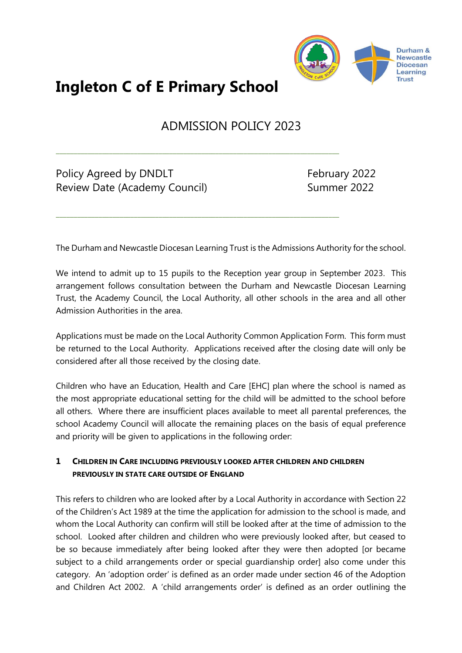

# **Ingleton C of E Primary School**

# ADMISSION POLICY 2023

\_\_\_\_\_\_\_\_\_\_\_\_\_\_\_\_\_\_\_\_\_\_\_\_\_\_\_\_\_\_\_\_\_\_\_\_\_\_\_\_\_\_\_\_\_\_\_\_\_\_\_\_\_\_\_\_\_\_\_\_\_\_\_\_\_\_\_\_\_\_\_\_\_\_\_\_\_\_\_\_

\_\_\_\_\_\_\_\_\_\_\_\_\_\_\_\_\_\_\_\_\_\_\_\_\_\_\_\_\_\_\_\_\_\_\_\_\_\_\_\_\_\_\_\_\_\_\_\_\_\_\_\_\_\_\_\_\_\_\_\_\_\_\_\_\_\_\_\_\_\_\_\_\_\_\_\_\_\_\_\_

Policy Agreed by DNDLT February 2022 Review Date (Academy Council) Summer 2022

The Durham and Newcastle Diocesan Learning Trust is the Admissions Authority for the school.

We intend to admit up to 15 pupils to the Reception year group in September 2023. This arrangement follows consultation between the Durham and Newcastle Diocesan Learning Trust, the Academy Council, the Local Authority, all other schools in the area and all other Admission Authorities in the area.

Applications must be made on the Local Authority Common Application Form. This form must be returned to the Local Authority. Applications received after the closing date will only be considered after all those received by the closing date.

Children who have an Education, Health and Care [EHC] plan where the school is named as the most appropriate educational setting for the child will be admitted to the school before all others. Where there are insufficient places available to meet all parental preferences, the school Academy Council will allocate the remaining places on the basis of equal preference and priority will be given to applications in the following order:

### **1 CHILDREN IN CARE INCLUDING PREVIOUSLY LOOKED AFTER CHILDREN AND CHILDREN PREVIOUSLY IN STATE CARE OUTSIDE OF ENGLAND**

This refers to children who are looked after by a Local Authority in accordance with Section 22 of the Children's Act 1989 at the time the application for admission to the school is made, and whom the Local Authority can confirm will still be looked after at the time of admission to the school. Looked after children and children who were previously looked after, but ceased to be so because immediately after being looked after they were then adopted [or became subject to a child arrangements order or special guardianship order] also come under this category. An 'adoption order' is defined as an order made under section 46 of the Adoption and Children Act 2002. A 'child arrangements order' is defined as an order outlining the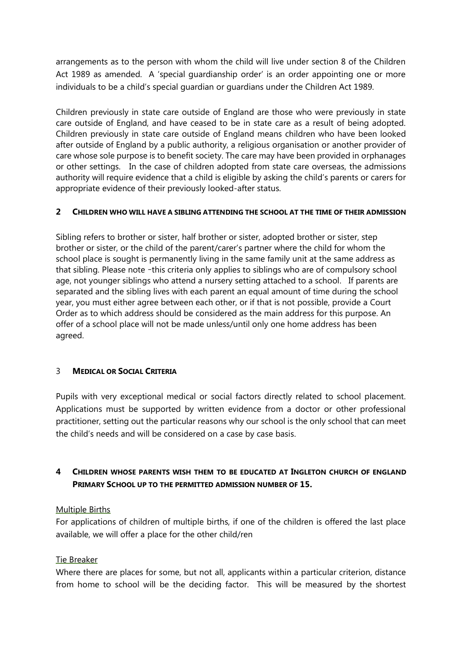arrangements as to the person with whom the child will live under section 8 of the Children Act 1989 as amended. A 'special guardianship order' is an order appointing one or more individuals to be a child's special guardian or guardians under the Children Act 1989.

Children previously in state care outside of England are those who were previously in state care outside of England, and have ceased to be in state care as a result of being adopted. Children previously in state care outside of England means children who have been looked after outside of England by a public authority, a religious organisation or another provider of care whose sole purpose is to benefit society. The care may have been provided in orphanages or other settings. In the case of children adopted from state care overseas, the admissions authority will require evidence that a child is eligible by asking the child's parents or carers for appropriate evidence of their previously looked-after status.

#### **2 CHILDREN WHO WILL HAVE A SIBLING ATTENDING THE SCHOOL AT THE TIME OF THEIR ADMISSION**

Sibling refers to brother or sister, half brother or sister, adopted brother or sister, step brother or sister, or the child of the parent/carer's partner where the child for whom the school place is sought is permanently living in the same family unit at the same address as that sibling. Please note –this criteria only applies to siblings who are of compulsory school age, not younger siblings who attend a nursery setting attached to a school. If parents are separated and the sibling lives with each parent an equal amount of time during the school year, you must either agree between each other, or if that is not possible, provide a Court Order as to which address should be considered as the main address for this purpose. An offer of a school place will not be made unless/until only one home address has been agreed.

#### 3 **MEDICAL OR SOCIAL CRITERIA**

Pupils with very exceptional medical or social factors directly related to school placement. Applications must be supported by written evidence from a doctor or other professional practitioner, setting out the particular reasons why our school is the only school that can meet the child's needs and will be considered on a case by case basis.

## **4 CHILDREN WHOSE PARENTS WISH THEM TO BE EDUCATED AT INGLETON CHURCH OF ENGLAND PRIMARY SCHOOL UP TO THE PERMITTED ADMISSION NUMBER OF 15.**

#### Multiple Births

For applications of children of multiple births, if one of the children is offered the last place available, we will offer a place for the other child/ren

#### Tie Breaker

Where there are places for some, but not all, applicants within a particular criterion, distance from home to school will be the deciding factor. This will be measured by the shortest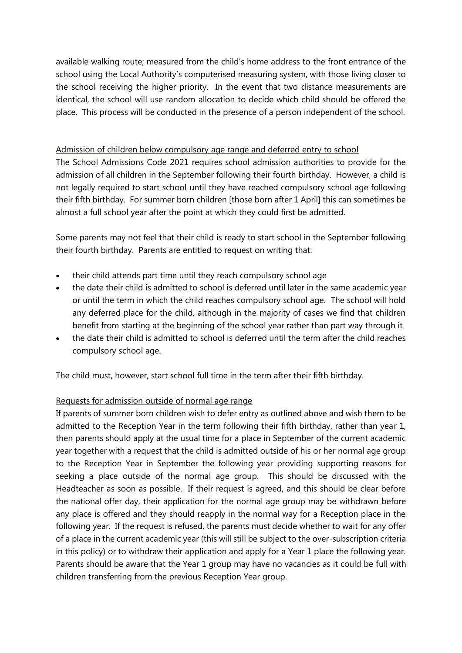available walking route; measured from the child's home address to the front entrance of the school using the Local Authority's computerised measuring system, with those living closer to the school receiving the higher priority. In the event that two distance measurements are identical, the school will use random allocation to decide which child should be offered the place. This process will be conducted in the presence of a person independent of the school.

#### Admission of children below compulsory age range and deferred entry to school

The School Admissions Code 2021 requires school admission authorities to provide for the admission of all children in the September following their fourth birthday. However, a child is not legally required to start school until they have reached compulsory school age following their fifth birthday. For summer born children [those born after 1 April] this can sometimes be almost a full school year after the point at which they could first be admitted.

Some parents may not feel that their child is ready to start school in the September following their fourth birthday. Parents are entitled to request on writing that:

- their child attends part time until they reach compulsory school age
- the date their child is admitted to school is deferred until later in the same academic year or until the term in which the child reaches compulsory school age. The school will hold any deferred place for the child, although in the majority of cases we find that children benefit from starting at the beginning of the school year rather than part way through it
- the date their child is admitted to school is deferred until the term after the child reaches compulsory school age.

The child must, however, start school full time in the term after their fifth birthday.

#### Requests for admission outside of normal age range

If parents of summer born children wish to defer entry as outlined above and wish them to be admitted to the Reception Year in the term following their fifth birthday, rather than year 1, then parents should apply at the usual time for a place in September of the current academic year together with a request that the child is admitted outside of his or her normal age group to the Reception Year in September the following year providing supporting reasons for seeking a place outside of the normal age group. This should be discussed with the Headteacher as soon as possible. If their request is agreed, and this should be clear before the national offer day, their application for the normal age group may be withdrawn before any place is offered and they should reapply in the normal way for a Reception place in the following year. If the request is refused, the parents must decide whether to wait for any offer of a place in the current academic year (this will still be subject to the over-subscription criteria in this policy) or to withdraw their application and apply for a Year 1 place the following year. Parents should be aware that the Year 1 group may have no vacancies as it could be full with children transferring from the previous Reception Year group.